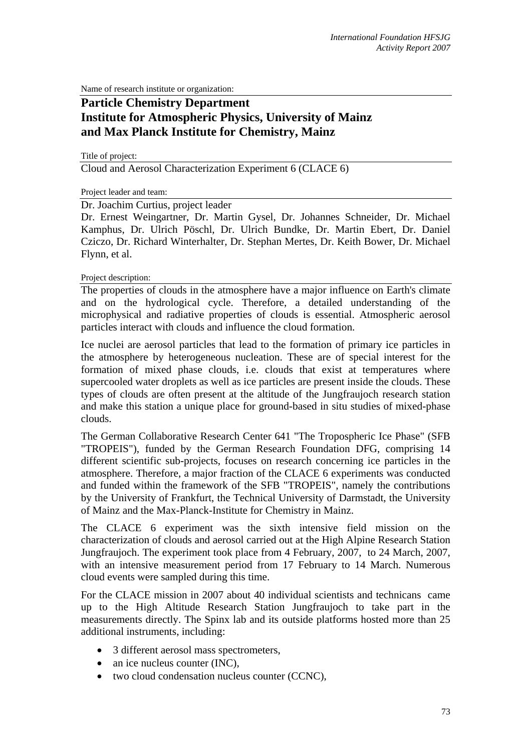Name of research institute or organization:

# **Particle Chemistry Department Institute for Atmospheric Physics, University of Mainz and Max Planck Institute for Chemistry, Mainz**

Title of project: Cloud and Aerosol Characterization Experiment 6 (CLACE 6)

Project leader and team:

Dr. Joachim Curtius, project leader

Dr. Ernest Weingartner, Dr. Martin Gysel, Dr. Johannes Schneider, Dr. Michael Kamphus, Dr. Ulrich Pöschl, Dr. Ulrich Bundke, Dr. Martin Ebert, Dr. Daniel Cziczo, Dr. Richard Winterhalter, Dr. Stephan Mertes, Dr. Keith Bower, Dr. Michael Flynn, et al.

Project description:

The properties of clouds in the atmosphere have a major influence on Earth's climate and on the hydrological cycle. Therefore, a detailed understanding of the microphysical and radiative properties of clouds is essential. Atmospheric aerosol particles interact with clouds and influence the cloud formation.

Ice nuclei are aerosol particles that lead to the formation of primary ice particles in the atmosphere by heterogeneous nucleation. These are of special interest for the formation of mixed phase clouds, i.e. clouds that exist at temperatures where supercooled water droplets as well as ice particles are present inside the clouds. These types of clouds are often present at the altitude of the Jungfraujoch research station and make this station a unique place for ground-based in situ studies of mixed-phase clouds.

The German Collaborative Research Center 641 "The Tropospheric Ice Phase" (SFB "TROPEIS"), funded by the German Research Foundation DFG, comprising 14 different scientific sub-projects, focuses on research concerning ice particles in the atmosphere. Therefore, a major fraction of the CLACE 6 experiments was conducted and funded within the framework of the SFB "TROPEIS", namely the contributions by the University of Frankfurt, the Technical University of Darmstadt, the University of Mainz and the Max-Planck-Institute for Chemistry in Mainz.

The CLACE 6 experiment was the sixth intensive field mission on the characterization of clouds and aerosol carried out at the High Alpine Research Station Jungfraujoch. The experiment took place from 4 February, 2007, to 24 March, 2007, with an intensive measurement period from 17 February to 14 March. Numerous cloud events were sampled during this time.

For the CLACE mission in 2007 about 40 individual scientists and technicans came up to the High Altitude Research Station Jungfraujoch to take part in the measurements directly. The Spinx lab and its outside platforms hosted more than 25 additional instruments, including:

- 3 different aerosol mass spectrometers.
- an ice nucleus counter (INC),
- two cloud condensation nucleus counter (CCNC),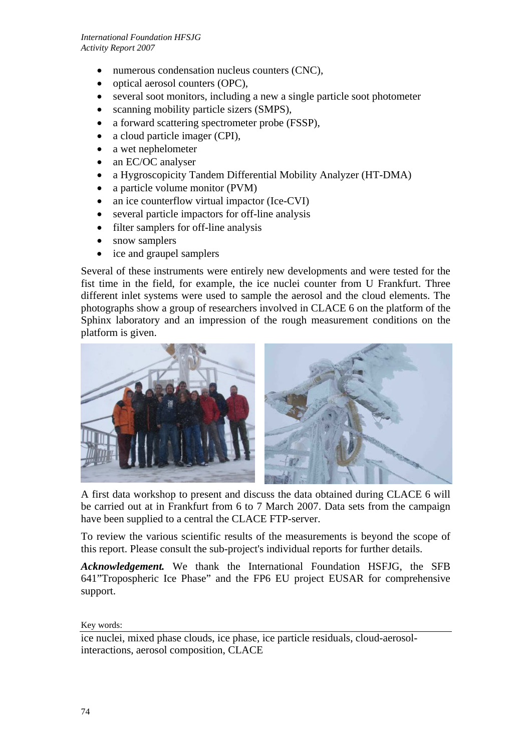- numerous condensation nucleus counters (CNC),
- optical aerosol counters (OPC),
- several soot monitors, including a new a single particle soot photometer
- scanning mobility particle sizers (SMPS),
- a forward scattering spectrometer probe (FSSP),
- a cloud particle imager (CPI),
- a wet nephelometer
- an EC/OC analyser
- a Hygroscopicity Tandem Differential Mobility Analyzer (HT-DMA)
- a particle volume monitor (PVM)
- an ice counterflow virtual impactor (Ice-CVI)
- several particle impactors for off-line analysis
- filter samplers for off-line analysis
- snow samplers
- ice and graupel samplers

Several of these instruments were entirely new developments and were tested for the fist time in the field, for example, the ice nuclei counter from U Frankfurt. Three different inlet systems were used to sample the aerosol and the cloud elements. The photographs show a group of researchers involved in CLACE 6 on the platform of the Sphinx laboratory and an impression of the rough measurement conditions on the platform is given.



A first data workshop to present and discuss the data obtained during CLACE 6 will be carried out at in Frankfurt from 6 to 7 March 2007. Data sets from the campaign have been supplied to a central the CLACE FTP-server.

To review the various scientific results of the measurements is beyond the scope of this report. Please consult the sub-project's individual reports for further details.

*Acknowledgement.* We thank the International Foundation HSFJG, the SFB 641"Tropospheric Ice Phase" and the FP6 EU project EUSAR for comprehensive support.

## Key words:

ice nuclei, mixed phase clouds, ice phase, ice particle residuals, cloud-aerosolinteractions, aerosol composition, CLACE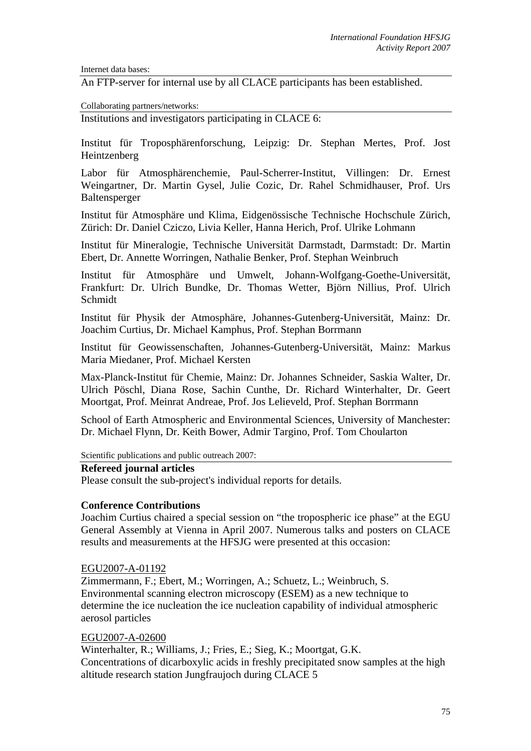Internet data bases:

An FTP-server for internal use by all CLACE participants has been established.

Collaborating partners/networks:

Institutions and investigators participating in CLACE 6:

Institut für Troposphärenforschung, Leipzig: Dr. Stephan Mertes, Prof. Jost Heintzenberg

Labor für Atmosphärenchemie, Paul-Scherrer-Institut, Villingen: Dr. Ernest Weingartner, Dr. Martin Gysel, Julie Cozic, Dr. Rahel Schmidhauser, Prof. Urs Baltensperger

Institut für Atmosphäre und Klima, Eidgenössische Technische Hochschule Zürich, Zürich: Dr. Daniel Cziczo, Livia Keller, Hanna Herich, Prof. Ulrike Lohmann

Institut für Mineralogie, Technische Universität Darmstadt, Darmstadt: Dr. Martin Ebert, Dr. Annette Worringen, Nathalie Benker, Prof. Stephan Weinbruch

Institut für Atmosphäre und Umwelt, Johann-Wolfgang-Goethe-Universität, Frankfurt: Dr. Ulrich Bundke, Dr. Thomas Wetter, Björn Nillius, Prof. Ulrich Schmidt

Institut für Physik der Atmosphäre, Johannes-Gutenberg-Universität, Mainz: Dr. Joachim Curtius, Dr. Michael Kamphus, Prof. Stephan Borrmann

Institut für Geowissenschaften, Johannes-Gutenberg-Universität, Mainz: Markus Maria Miedaner, Prof. Michael Kersten

Max-Planck-Institut für Chemie, Mainz: Dr. Johannes Schneider, Saskia Walter, Dr. Ulrich Pöschl, Diana Rose, Sachin Cunthe, Dr. Richard Winterhalter, Dr. Geert Moortgat, Prof. Meinrat Andreae, Prof. Jos Lelieveld, Prof. Stephan Borrmann

School of Earth Atmospheric and Environmental Sciences, University of Manchester: Dr. Michael Flynn, Dr. Keith Bower, Admir Targino, Prof. Tom Choularton

Scientific publications and public outreach 2007:

## **Refereed journal articles**

Please consult the sub-project's individual reports for details.

## **Conference Contributions**

Joachim Curtius chaired a special session on "the tropospheric ice phase" at the EGU General Assembly at Vienna in April 2007. Numerous talks and posters on CLACE results and measurements at the HFSJG were presented at this occasion:

## EGU2007-A-01192

Zimmermann, F.; Ebert, M.; Worringen, A.; Schuetz, L.; Weinbruch, S. Environmental scanning electron microscopy (ESEM) as a new technique to determine the ice nucleation the ice nucleation capability of individual atmospheric aerosol particles

## EGU2007-A-02600

Winterhalter, R.; Williams, J.; Fries, E.; Sieg, K.; Moortgat, G.K. Concentrations of dicarboxylic acids in freshly precipitated snow samples at the high altitude research station Jungfraujoch during CLACE 5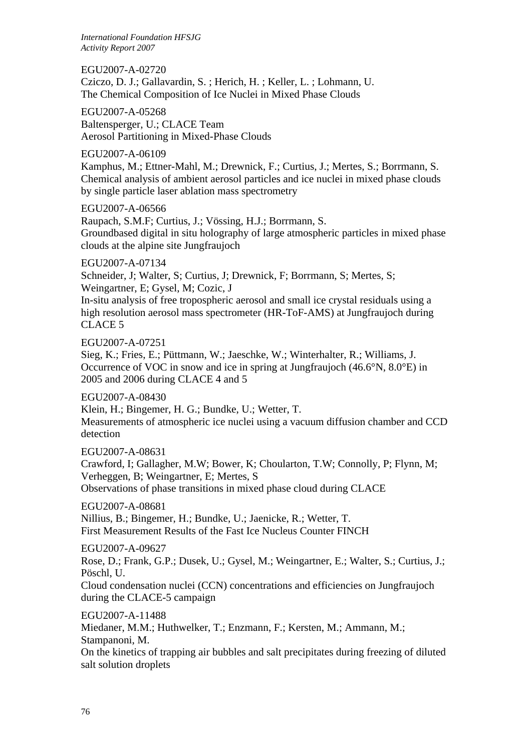*International Foundation HFSJG Activity Report 2007*

EGU2007-A-02720 Cziczo, D. J.; Gallavardin, S. ; Herich, H. ; Keller, L. ; Lohmann, U. The Chemical Composition of Ice Nuclei in Mixed Phase Clouds

EGU2007-A-05268 Baltensperger, U.; CLACE Team Aerosol Partitioning in Mixed-Phase Clouds

EGU2007-A-06109

Kamphus, M.; Ettner-Mahl, M.; Drewnick, F.; Curtius, J.; Mertes, S.; Borrmann, S. Chemical analysis of ambient aerosol particles and ice nuclei in mixed phase clouds by single particle laser ablation mass spectrometry

EGU2007-A-06566

Raupach, S.M.F; Curtius, J.; Vössing, H.J.; Borrmann, S. Groundbased digital in situ holography of large atmospheric particles in mixed phase clouds at the alpine site Jungfraujoch

EGU2007-A-07134 Schneider, J; Walter, S; Curtius, J; Drewnick, F; Borrmann, S; Mertes, S; Weingartner, E; Gysel, M; Cozic, J

In-situ analysis of free tropospheric aerosol and small ice crystal residuals using a high resolution aerosol mass spectrometer (HR-ToF-AMS) at Jungfraujoch during CLACE 5

EGU2007-A-07251

Sieg, K.; Fries, E.; Püttmann, W.; Jaeschke, W.; Winterhalter, R.; Williams, J. Occurrence of VOC in snow and ice in spring at Jungfraujoch (46.6°N, 8.0°E) in 2005 and 2006 during CLACE 4 and 5

EGU2007-A-08430

Klein, H.; Bingemer, H. G.; Bundke, U.; Wetter, T. Measurements of atmospheric ice nuclei using a vacuum diffusion chamber and CCD detection

EGU2007-A-08631

Crawford, I; Gallagher, M.W; Bower, K; Choularton, T.W; Connolly, P; Flynn, M; Verheggen, B; Weingartner, E; Mertes, S

Observations of phase transitions in mixed phase cloud during CLACE

EGU2007-A-08681

Nillius, B.; Bingemer, H.; Bundke, U.; Jaenicke, R.; Wetter, T. First Measurement Results of the Fast Ice Nucleus Counter FINCH

EGU2007-A-09627

Rose, D.; Frank, G.P.; Dusek, U.; Gysel, M.; Weingartner, E.; Walter, S.; Curtius, J.; Pöschl, U.

Cloud condensation nuclei (CCN) concentrations and efficiencies on Jungfraujoch during the CLACE-5 campaign

EGU2007-A-11488

Miedaner, M.M.; Huthwelker, T.; Enzmann, F.; Kersten, M.; Ammann, M.; Stampanoni, M.

On the kinetics of trapping air bubbles and salt precipitates during freezing of diluted salt solution droplets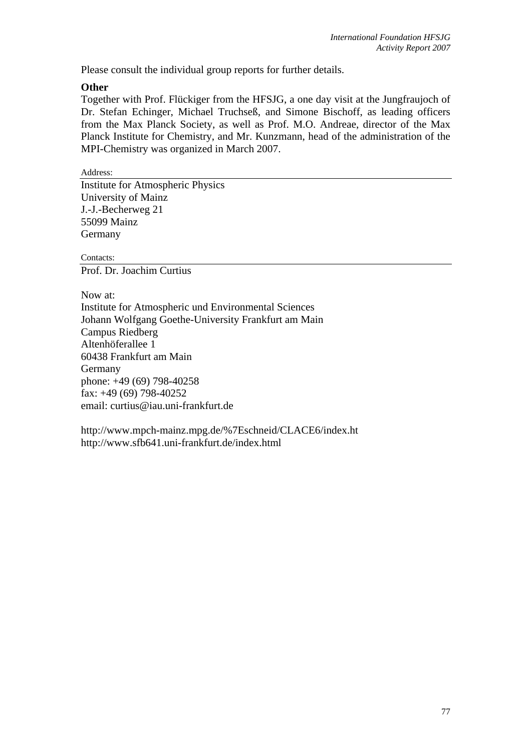Please consult the individual group reports for further details.

## **Other**

Together with Prof. Flückiger from the HFSJG, a one day visit at the Jungfraujoch of Dr. Stefan Echinger, Michael Truchseß, and Simone Bischoff, as leading officers from the Max Planck Society, as well as Prof. M.O. Andreae, director of the Max Planck Institute for Chemistry, and Mr. Kunzmann, head of the administration of the MPI-Chemistry was organized in March 2007.

Address:

Institute for Atmospheric Physics University of Mainz J.-J.-Becherweg 21 55099 Mainz Germany

Contacts:

Prof. Dr. Joachim Curtius

Now at: Institute for Atmospheric und Environmental Sciences Johann Wolfgang Goethe-University Frankfurt am Main Campus Riedberg Altenhöferallee 1 60438 Frankfurt am Main Germany phone: +49 (69) 798-40258 fax: +49 (69) 798-40252 email: curtius@iau.uni-frankfurt.de

http://www.mpch-mainz.mpg.de/%7Eschneid/CLACE6/index.ht http://www.sfb641.uni-frankfurt.de/index.html